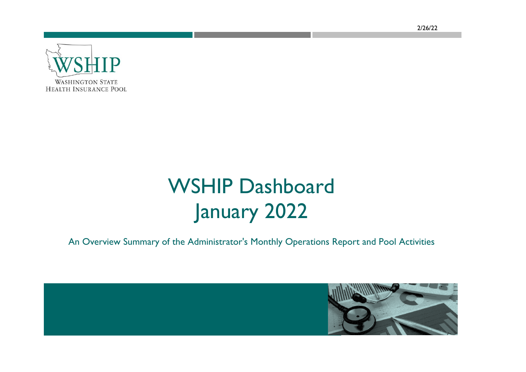2/26/22



# WSHIP Dashboard January 2022

An Overview Summary of the Administrator's Monthly Operations Report and Pool Activities

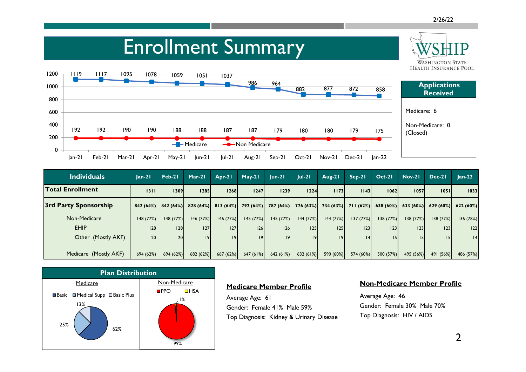**WASHINGTON STATE** 

## Enrollment Summary



| Individuals             | $lan-21$ | Feb-21               | $Mar-21$    | Apr-21    | $May-21$             | $lun-2l$ | $ ul-2 $                      | Aug-21    | $Sep-21$  | $Oct-21$             | <b>Nov-21</b> | Dec-21          | $Jan-22$  |
|-------------------------|----------|----------------------|-------------|-----------|----------------------|----------|-------------------------------|-----------|-----------|----------------------|---------------|-----------------|-----------|
| <b>Total Enrollment</b> | 1311     | 1309                 | <b>1285</b> | 1268      | 1247                 | 1239     | 1224                          | 1173      | 1143      | 1062                 | 1057          | 1051            | 1033      |
| 3rd Party Sponsorship   |          | $842(64%)$ 842 (64%) | 828(64%)    |           | $813(64%)$ 792 (64%) |          | 787 (64%) 776 (63%) 734 (63%) |           |           | $711(62%)$ 638 (60%) | 633(60%)      | 629(60%)        | 622 (60%) |
| Non-Medicare            | 148(77%) | 148(77%)             | 146 (77%)   | 146(77%)  | 145(77%)             | 145(77%) | 144 (77%)                     | 144 (77%) | 137(77%)  | 138 (77%)            | 138(77%)      | 138 (77%)       | 36 (78%)  |
| <b>EHIP</b>             | 28       | 28                   | 127         | 127       | 26                   | 126      | 125                           | 125       | 123       | 23                   | 23            | 23              | 22        |
| Other (Mostly AKF)      | 20       | 20 <sub>l</sub>      | 9           | 9         | 9                    | ا 19     | 9                             | 9         | 4         | 5                    |               | 15 <sub>1</sub> | 4         |
|                         |          |                      |             |           |                      |          |                               |           |           |                      |               |                 |           |
| Medicare (Mostly AKF)   | 694(62%) | 694 (62%)            | 682 (62%)   | 667 (62%) | 647(61%)             | 642(61%) | 632 (61%)                     | 590 (60%) | 574 (60%) | 500 (57%)            | 495 (56%)     | 491 (56%)       | 486 (57%) |



#### **Medicare Member Profile**

Average Age: 61 Gender: Female 41% Male 59% Top Diagnosis: Kidney & Urinary Disease

#### **Non-Medicare Member Profile**

Average Age: 46 Gender: Female 30% Male 70% Top Diagnosis: HIV / AIDS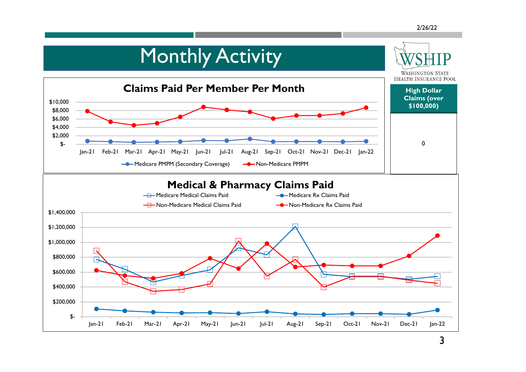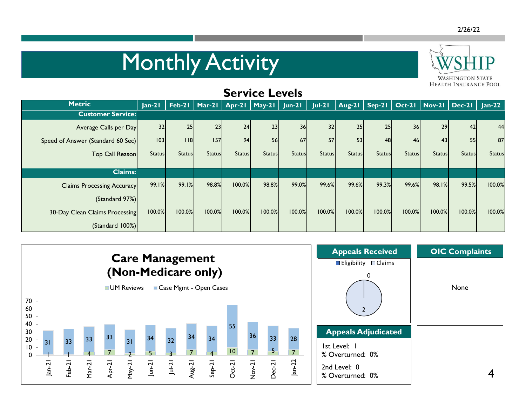# **Monthly Activity**



### **Service Levels**

| <b>Metric</b>                     | $Jan-21$      |               | Feb-21   Mar-21   Apr-21   May-21   Jun-21 |               |               |               | $Jul-21$      | Aug-21   Sep-21   Oct-21   Nov-21   Dec-21   Jan-22 |               |               |               |               |               |
|-----------------------------------|---------------|---------------|--------------------------------------------|---------------|---------------|---------------|---------------|-----------------------------------------------------|---------------|---------------|---------------|---------------|---------------|
| <b>Customer Service:</b>          |               |               |                                            |               |               |               |               |                                                     |               |               |               |               |               |
| Average Calls per Day             | 32            | 25            | 23                                         | 24            | 23            | 36            | 32            | 25                                                  | 25            | <b>36</b>     | 29            | 42            | 44            |
| Speed of Answer (Standard 60 Sec) | 103           | 18            | 157                                        | 94            | 56            | 67            | 57            | 53                                                  | 48            | 46            | 43            | 55            | 87            |
| Top Call Reason                   | <b>Status</b> | <b>Status</b> | <b>Status</b>                              | <b>Status</b> | <b>Status</b> | <b>Status</b> | <b>Status</b> | <b>Status</b>                                       | <b>Status</b> | <b>Status</b> | <b>Status</b> | <b>Status</b> | <b>Status</b> |
|                                   |               |               |                                            |               |               |               |               |                                                     |               |               |               |               |               |
| <b>Claims:</b>                    |               |               |                                            |               |               |               |               |                                                     |               |               |               |               |               |
| <b>Claims Processing Accuracy</b> | 99.1%         | 99.1%         | 98.8%                                      | 100.0%        | 98.8%         | 99.0%         | 99.6%         | 99.6%                                               | 99.3%         | 99.6%         | 98.1%         | 99.5%         | 100.0%        |
| (Standard 97%)                    |               |               |                                            |               |               |               |               |                                                     |               |               |               |               |               |
| 30-Day Clean Claims Processing    | 100.0%        | 100.0%        | 100.0%                                     | 100.0%        | 100.0%        | 100.0%        | 100.0%        | 100.0%                                              | 100.0%        | 100.0%        | 100.0%        | 100.0%        | 100.0%        |
| (Standard 100%)                   |               |               |                                            |               |               |               |               |                                                     |               |               |               |               |               |